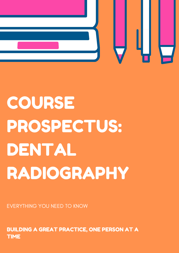

EVERYTHING YOU NEED TO KNOW

BUILDING A GREAT PRACTICE, ONE PERSON AT A TIME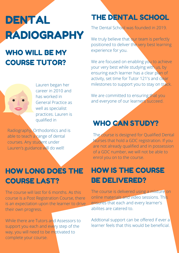# **DENTAL** RADIOGRAPHY

## WHO WILL BE MY COURSE TUTOR?



Lauren began her career in 2010 and has worked in General Practice as well as specialist practices. Lauren is qualified in

Radiography, Orthodontics and is able to teach a range of dental courses. Any student under Lauren's guidance will do well!

#### HOW LONG DOES THE COURSE LAST?

The course will last for 6 months. As this course is a Post Registration Course, there is an expectation upon the learner to drive their own progress.

While there are Tutors and Assessors to support you each and every step of the way, you will need to be motivated to complete your course.

#### THE DENTAL SCHOOL

The Dental School was founded in 2019.

We truly believe that our team is perfectly positioned to deliver the very best learning experience for you.

We are focused on enabling you to achieve your very best while studying with us, by ensuring each learner has a clear plan of activity, set time for Tutor 121's and clear milestones to support you to stay on track.

We are committed to ensuring that you and everyone of our learners succeed.

#### WHO CAN STUDY?

The course is designed for Qualified Dental Nurses that hold a GDC registration. If you are not already qualified and in possession of a GDC number, we will not be able to enrol you on to the course.

#### HOW IS THE COURSE BE DELIVERED?

The course is delivered using a mixture on online materials and video sessions. This ensures that each and every learner's abilites are catered to.

Addtional support can be offered if ever a learner feels that this would be beneficial.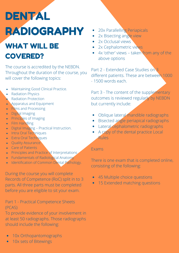# DENTAL RADIOGRAPHY

## WHAT WILL BE COVERED?

The course is accredited by the NEBDN. Throughout the duration of the course, you will cover the following topics:

- Maintaining Good Clinical Practice.
- Radiation Physics  $\bullet$
- Radiation Protection
- Apparatus and Equipment
- **Films and Processing**  $\bullet$
- **Digital Imaging**
- **Principles of Imaging**
- Film Handling
- Digital Imaging Practical Instruction.
- Intra Oral Techniques
- **Extra Oral Techniques**
- **Quality Assurance**
- Care of Patients
- **•** Principles and Practice of Interpretations
- Fundamentals of Radiological Anatomy
- **Identification of Common Dental Pathology.**

During the course you will complete Records of Competence (RoC) split in to 3 parts. All three parts must be completed before you are eligible to sit your exam.

#### Part 1 - Practical Competence Sheets (PCAS)

To provide evidence of your involvement in at least 50 radiographs. Those radiographs should include the following:

- 10x Orthopantomographs
- 10x sets of Bitewings
- 20x Parallelling Periapicals
- 2x Bisecting angle view
- 2x Occlusal views
- 2x Cephalometric views
- 4x 'other' views taken from any of the above options

Part 2 - Extended Case Studies on 3 different patients. These are between 1000 - 1500 words each.

Part 3 - The content of the supplementary outcomes is reviewed regularly by NEBDN but currently include:

- Oblique lateral mandible radiographs
- Bisected angle periapical radiographs
- Lateral cephalometric radiographs
- A copy of the dental practice Local Rules

#### Exams

There is one exam that is completed online, consisting of the following:

- 45 Multiple choice questions
- 15 Extended matching questions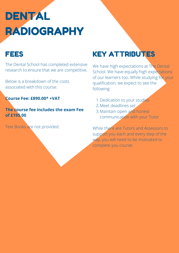# DENTAL RADIOGRAPHY

The Dental School has completed extensive research to ensure that we are competitive.

Below is a breakdown of the costs associated with this course:

**Course Fee: £890.00\* +VAT**

**The course fee includes the exam Fee of £195.00**

Text Books are not provided.

## FEES KEY ATTRIBUTES

We have high expectations at The Dental School. We have equally high expectations of our learners too. While studying for your qualification, we expect to see the following:

- 1. Dedication to your studies
- 2. Meet deadlines set
- 3. Maintain open and honest communication with your Tutor

While there are Tutors and Assessors to support you each and every step of the way, you will need to be motivated to complete you course.